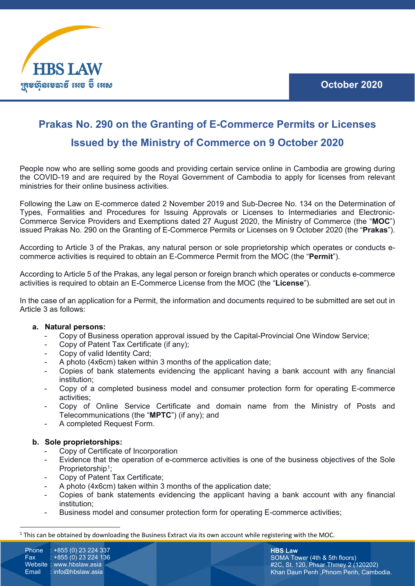

# **Prakas No. 290 on the Granting of E-Commerce Permits or Licenses**

### **Issued by the Ministry of Commerce on 9 October 2020**

People now who are selling some goods and providing certain service online in Cambodia are growing during the COVID-19 and are required by the Royal Government of Cambodia to apply for licenses from relevant ministries for their online business activities.

Following the Law on E-commerce dated 2 November 2019 and Sub-Decree No. 134 on the Determination of Types, Formalities and Procedures for Issuing Approvals or Licenses to Intermediaries and Electronic-Commerce Service Providers and Exemptions dated 27 August 2020, the Ministry of Commerce (the "**MOC**") issued Prakas No. 290 on the Granting of E-Commerce Permits or Licenses on 9 October 2020 (the "**Prakas**").

According to Article 3 of the Prakas, any natural person or sole proprietorship which operates or conducts ecommerce activities is required to obtain an E-Commerce Permit from the MOC (the "**Permit**").

According to Article 5 of the Prakas, any legal person or foreign branch which operates or conducts e-commerce activities is required to obtain an E-Commerce License from the MOC (the "**License**").

In the case of an application for a Permit, the information and documents required to be submitted are set out in Article 3 as follows:

#### **a. Natural persons:**

- Copy of Business operation approval issued by the Capital-Provincial One Window Service;
- Copy of Patent Tax Certificate (if any);
- Copy of valid Identity Card:
- A photo (4x6cm) taken within 3 months of the application date;
- Copies of bank statements evidencing the applicant having a bank account with any financial institution;
- Copy of a completed business model and consumer protection form for operating E-commerce activities;
- Copy of Online Service Certificate and domain name from the Ministry of Posts and Telecommunications (the "**MPTC**") (if any); and
- A completed Request Form.

#### **b. Sole proprietorships:**

- Copy of Certificate of Incorporation
- Evidence that the operation of e-commerce activities is one of the business objectives of the Sole Proprietorship<sup>1</sup>;
- Copy of Patent Tax Certificate;
- A photo (4x6cm) taken within 3 months of the application date;
- Copies of bank statements evidencing the applicant having a bank account with any financial institution;
- Business model and consumer protection form for operating E-commerce activities;

Phone : +855 (0) 23 224 337<br>Fax : +855 (0) 23 224 136  $: +855(0)$  23 224 136 Website : www.hbslaw.asia Email : info@hbslaw.asia

**HBS Law** SOMA Tower (4th & 5th floors) #2C, St. 120, Phsar Thmey 2 (120202) Khan Daun Penh ,Phnom Penh, Cambodia.

<span id="page-0-0"></span> $1$  This can be obtained by downloading the Business Extract via its own account while registering with the MOC.